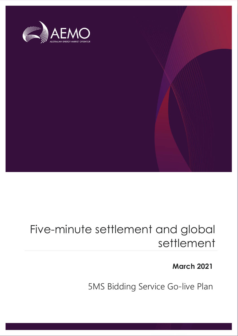

# Five-minute settlement and global settlement

**March 2021**

5MS Bidding Service Go-live Plan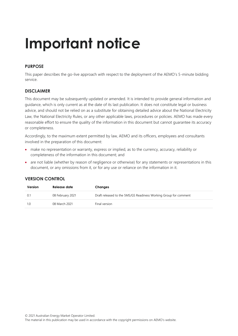# **Important notice**

#### **PURPOSE**

This paper describes the go-live approach with respect to the deployment of the AEMO's 5-minute bidding service.

#### **DISCLAIMER**

This document may be subsequently updated or amended. It is intended to provide general information and guidance, which is only current as at the date of its last publication. It does not constitute legal or business advice, and should not be relied on as a substitute for obtaining detailed advice about the National Electricity Law, the National Electricity Rules, or any other applicable laws, procedures or policies. AEMO has made every reasonable effort to ensure the quality of the information in this document but cannot guarantee its accuracy or completeness.

Accordingly, to the maximum extent permitted by law, AEMO and its officers, employees and consultants involved in the preparation of this document:

- make no representation or warranty, express or implied, as to the currency, accuracy, reliability or completeness of the information in this document; and
- are not liable (whether by reason of negligence or otherwise) for any statements or representations in this document, or any omissions from it, or for any use or reliance on the information in it.

| Version | Release date     | Changes                                                          |
|---------|------------------|------------------------------------------------------------------|
| 0.1     | 08 February 2021 | Draft released to the 5MS/GS Readiness Working Group for comment |
| 1(0)    | 08 March 2021    | Final version                                                    |

#### **VERSION CONTROL**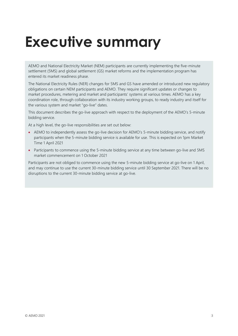# <span id="page-2-0"></span>**Executive summary**

AEMO and National Electricity Market (NEM) participants are currently implementing the five-minute settlement (5MS) and global settlement (GS) market reforms and the implementation program has entered its market readiness phase.

The National Electricity Rules (NER) changes for 5MS and GS have amended or introduced new regulatory obligations on certain NEM participants and AEMO. They require significant updates or changes to market procedures, metering and market and participants' systems at various times. AEMO has a key coordination role, through collaboration with its industry working groups, to ready industry and itself for the various system and market "go-live" dates.

This document describes the go-live approach with respect to the deployment of the AEMO's 5-minute bidding service.

At a high level, the go-live responsibilities are set out below:

- AEMO to independently assess the go-live decision for AEMO's 5-minute bidding service, and notify participants when the 5-minute bidding service is available for use. This is expected on 1pm Market Time 1 April 2021
- Participants to commence using the 5-minute bidding service at any time between go-live and 5MS market commencement on 1 October 2021

Participants are not obliged to commence using the new 5-minute bidding service at go-live on 1 April, and may continue to use the current 30-minute bidding service until 30 September 2021. There will be no disruptions to the current 30-minute bidding service at go-live.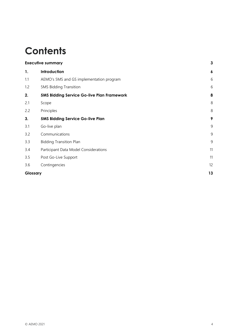## **Contents**

| <b>Executive summary</b>                          |                  |  |
|---------------------------------------------------|------------------|--|
| Introduction                                      | $\boldsymbol{6}$ |  |
| AEMO's 5MS and GS implementation program          | 6                |  |
| <b>5MS Bidding Transition</b>                     | 6                |  |
| <b>5MS Bidding Service Go-live Plan Framework</b> | 8                |  |
| Scope                                             | 8                |  |
| Principles                                        | 8                |  |
| <b>5MS Bidding Service Go-live Plan</b>           | 9                |  |
| Go-live plan                                      | 9                |  |
| Communications                                    | 9                |  |
| <b>Bidding Transition Plan</b>                    | 9                |  |
| Participant Data Model Considerations             | 11               |  |
| Post Go-Live Support                              | 11               |  |
| Contingencies                                     | 12               |  |
| Glossary                                          |                  |  |
|                                                   |                  |  |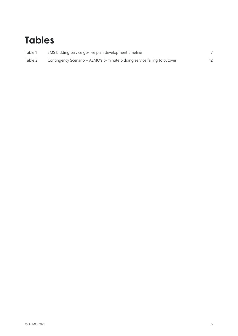## **Tables**

| Table 1 | 5MS bidding service go-live plan development timeline                     |  |
|---------|---------------------------------------------------------------------------|--|
| Table 2 | Contingency Scenario – AEMO's 5-minute bidding service failing to cutover |  |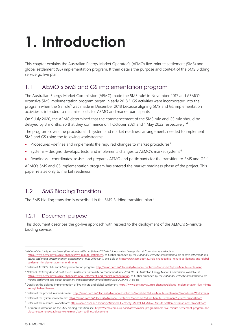# <span id="page-5-0"></span>**1. Introduction**

This chapter explains the Australian Energy Market Operator's (AEMO) five-minute settlement (5MS) and global settlement (GS) implementation program. It then details the purpose and context of the 5MS Bidding service go live plan.

### <span id="page-5-1"></span>1.1 AEMO's 5MS and GS implementation program

The Australian Energy Market Commission (AEMC) made the 5MS rule<sup>1</sup> in November 2017 and AEMO's extensive 5MS implementation program began in early 2018.<sup>2</sup> GS activities were incorporated into the program when the GS rule<sup>3</sup> was made in December 2018 because aligning 5MS and GS implementation activities is intended to minimise costs for AEMO and market participants.

On 9 July 2020, the AEMC determined that the commencement of the 5MS rule and GS rule should be delayed by 3 months, so that they commence on 1 October 2021 and 1 May 2022 respectively. <sup>4</sup>

The program covers the procedural, IT system and market readiness arrangements needed to implement 5MS and GS using the following workstreams:

- Procedures –defines and implements the required changes to market procedures<sup>5</sup>
- Systems designs, develops, tests, and implements changes to AEMO's market systems<sup>6</sup>
- Readiness coordinates, assists and prepares AEMO and participants for the transition to 5MS and GS.<sup>7</sup>

AEMO's 5MS and GS implementation program has entered the market readiness phase of the project. This paper relates only to market readiness.

### <span id="page-5-2"></span>1.2 5MS Bidding Transition

The 5MS bidding transition is described in the 5MS Bidding transition plan.<sup>8</sup>

#### 1.2.1 Document purpose

This document describes the go-live approach with respect to the deployment of the AEMO's 5-minute bidding service.

<sup>1</sup> *National Electricity Amendment (Five minute settlement) Rule 2017 No. 15*, Australian Energy Market Commission, available at: [https://www.aemc.gov.au/rule-changes/five-minute-settlement,](https://www.aemc.gov.au/rule-changes/five-minute-settlement) as further amended by the *National Electricity Amendment (Five minute settlement and global settlement implementation amendments) Rule 2019 No. 7*, available at [https://www.aemc.gov.au/rule-changes/five-minute-settlement-and-global](https://www.aemc.gov.au/rule-changes/five-minute-settlement-and-global-settlement-implementation-amendments)[settlement-implementation-amendments](https://www.aemc.gov.au/rule-changes/five-minute-settlement-and-global-settlement-implementation-amendments)

<sup>&</sup>lt;sup>2</sup> Details of AEMO's 5MS and GS implementation program: <http://aemo.com.au/Electricity/National-Electricity-Market-NEM/Five-Minute-Settlement>

<sup>&</sup>lt;sup>3</sup> National Electricity Amendment (Global settlement and market reconciliation) Rule 2018 No. 14, Australian Energy Market Commission, available at: [https://www.aemc.gov.au/rule-changes/global-settlement-and-market-reconciliation,](https://www.aemc.gov.au/rule-changes/global-settlement-and-market-reconciliation) as further amended by the *National Electricity Amendment (Five minute settlement and global settlement implementation amendments) Rule 2019 No. 7*, op cit.

<sup>4</sup> Details on the delayed implementation of five minute and global settlement[: https://www.aemc.gov.au/rule-changes/delayed-implementation-five-minute](https://www.aemc.gov.au/rule-changes/delayed-implementation-five-minute-and-global-settlement)[and-global-settlement](https://www.aemc.gov.au/rule-changes/delayed-implementation-five-minute-and-global-settlement)

<sup>5</sup> Details of the procedures workstream[: http://aemo.com.au/Electricity/National-Electricity-Market-NEM/Five-Minute-Settlement/Procedures-Workstream](http://aemo.com.au/Electricity/National-Electricity-Market-NEM/Five-Minute-Settlement/Procedures-Workstream)

<sup>6</sup> Details of the systems workstream[: https://aemo.com.au/Electricity/National-Electricity-Market-NEM/Five-Minute-Settlement/Systems-Workstream](https://aemo.com.au/Electricity/National-Electricity-Market-NEM/Five-Minute-Settlement/Systems-Workstream)

<sup>7</sup> Details of the readiness workstream[: https://aemo.com.au/Electricity/National-Electricity-Market-NEM/Five-Minute-Settlement/Readiness-Workstream](https://aemo.com.au/Electricity/National-Electricity-Market-NEM/Five-Minute-Settlement/Readiness-Workstream)

<sup>&</sup>lt;sup>8</sup> For more information on the 5MS bidding transition see: [https://aemo.com.au/en/initiatives/major-programs/nem-five-minute-settlement-program-and](https://aemo.com.au/en/initiatives/major-programs/nem-five-minute-settlement-program-and-global-settlement/readiness-workstream/key-readiness-documents)[global-settlement/readiness-workstream/key-readiness-documents](https://aemo.com.au/en/initiatives/major-programs/nem-five-minute-settlement-program-and-global-settlement/readiness-workstream/key-readiness-documents)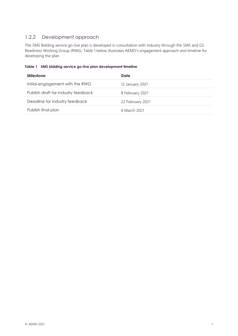### 1.2.2 Development approach

The 5MS Bidding service go-live plan is developed in consultation with industry through the 5MS and GS Readiness Working Group (RWG). Table 1 below illustrates AEMO's engagement approach and timeline for developing the plan.

#### <span id="page-6-0"></span>**Table 1 5MS bidding service go-live plan development timeline**

| <b>Milestone</b>                    | Date             |
|-------------------------------------|------------------|
| Initial engagement with the RWG     | 12 January 2021  |
| Publish draft for industry feedback | 8 February 2021  |
| Deadline for industry feedback      | 22 February 2021 |
| Publish final plan                  | 8 March 2021     |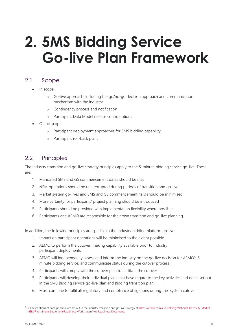# <span id="page-7-0"></span>**2. 5MS Bidding Service Go-live Plan Framework**

### <span id="page-7-1"></span>2.1 Scope

- In scope
	- o Go-live approach, including the go/no-go decision approach and communication mechanism with the industry
	- o Contingency process and notification
	- o Participant Data Model release considerations
- Out of scope
	- o Participant deployment approaches for 5MS bidding capability
	- o Participant roll-back plans

### <span id="page-7-2"></span>2.2 Principles

The Industry transition and go-live strategy principles apply to the 5-minute bidding service go-live. These are:

- 1. Mandated 5MS and GS commencement dates should be met
- 2. NEM operations should be uninterrupted during periods of transition and go-live
- 3. Market system go-lives and 5MS and GS commencement risks should be minimised
- 4. More certainty for participants' project planning should be introduced
- 5. Participants should be provided with implementation flexibility where possible
- 6. Participants and AEMO are responsible for their own transition and go-live planning<sup>9</sup>

In addition, the following principles are specific to the industry bidding platform go-live:

- 1. Impact on participant operations will be minimised to the extent possible
- 2. AEMO to perform the cutover, making capability available prior to Industry participant deployments
- 3. AEMO will independently assess and inform the industry on the go-live decision for AEMO's 5 minute bidding service, and communicate status during the cutover process
- 4. Participants will comply with the cutover plan to facilitate the cutover
- 5. Participants will develop their individual plans that have regard to the key activities and dates set out in the 5MS Bidding service go-live plan and Bidding transition plan
- 6. Must continue to fulfil all regulatory and compliance obligations during the system cutover

<sup>&</sup>lt;sup>9</sup> Full descriptions of each principle are set out in the Industry transition and go-live strategy at[: https://aemo.com.au/Electricity/National-Electricity-Market-](https://aemo.com.au/Electricity/National-Electricity-Market-NEM/Five-Minute-Settlement/Readiness-Workstream/Key-Readiness-Documents)[NEM/Five-Minute-Settlement/Readiness-Workstream/Key-Readiness-Documents](https://aemo.com.au/Electricity/National-Electricity-Market-NEM/Five-Minute-Settlement/Readiness-Workstream/Key-Readiness-Documents)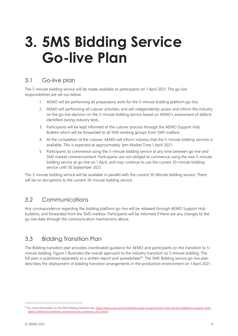# <span id="page-8-0"></span>**3. 5MS Bidding Service Go-live Plan**

### <span id="page-8-1"></span>3.1 Go-live plan

The 5-minute bidding service will be made available to participants on 1 April 2021. The go-live responsibilities are set out below.

- 1. AEMO will be performing all preparatory work for the 5-minute bidding platform go-live.
- 2. AEMO will performing all cutover activities, and will independently assess and inform the industry on the go-live decision on the 5-minute bidding service based on AEMO's assessment of defects identified during industry tests.
- 3. Participants will be kept informed of the cutover process through the AEMO Support Hub Bulletin which will be forwarded to all 5MS working groups from 5MS mailbox.
- 4. At the completion of the cutover, AEMO will inform industry that the 5-minute bidding services is available. This is expected at approximately 1pm Market Time 1 April 2021.
- 5. Participants to commence using the 5-minute bidding service at any time between go-live and 5MS market commencement. Participants are not obliged to commence using the new 5-minute bidding service at go-live on 1 April, and may continue to use the current 30-minute bidding service until 30 September 2021.

The 5-minute bidding service will be available in parallel with the current 30-Minute bidding service. There will be no disruptions to the current 30-minute bidding service.

### <span id="page-8-2"></span>3.2 Communications

Any correspondence regarding the bidding platform go-live will be released through AEMO Support Hub bulletins, and forwarded from the 5MS mailbox. Participants will be informed if there are any changes to the go-live date through the communication mechanisms above.

### <span id="page-8-3"></span>3.3 Bidding Transition Plan

The Bidding transition plan provides coordinated guidance for AEMO and participants on the transition to 5 minute bidding. Figure 1 illustrates the overall approach to the industry transition to 5-minute bidding. The full plan is published separately as a written report and spreadsheet<sup>10</sup>. The 5MS Bidding service go-live plan describes the deployment of bidding transition arrangements in the production environment on 1 April 2021.

<sup>10</sup> For more information on the 5MS bidding transition see[: https://aemo.com.au/en/initiatives/major-programs/nem-five-minute-settlement-program-and](https://aemo.com.au/en/initiatives/major-programs/nem-five-minute-settlement-program-and-global-settlement/readiness-workstream/key-readiness-documents)[global-settlement/readiness-workstream/key-readiness-documents](https://aemo.com.au/en/initiatives/major-programs/nem-five-minute-settlement-program-and-global-settlement/readiness-workstream/key-readiness-documents)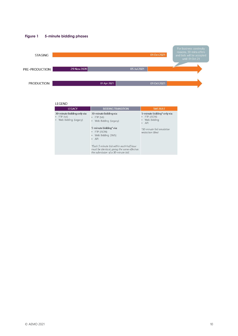



#### LEGEND

| <b>LEGACY</b>                                                            | <b>BIDDING TRANSITION</b>                                                                                                                                                                                                                                                           | <b>5MS RULE</b>                                                                                                                |
|--------------------------------------------------------------------------|-------------------------------------------------------------------------------------------------------------------------------------------------------------------------------------------------------------------------------------------------------------------------------------|--------------------------------------------------------------------------------------------------------------------------------|
| 30-minute bidding only via:<br>$\cdot$ FTP (txt)<br>Web Bidding (Legacy) | 30-minute bidding via:<br>$\cdot$ FTP (txt)<br>• Web Bidding (Legacy)<br>5-minute bidding* via:<br>• FTP (JSON)<br>• Web Bidding (5MS)<br>$-$ API<br>*Each 5-minute bid within each half hour<br>must be identical, giving the same effect as<br>the submission of a 30-minute bid. | 5-minute bidding* only via:<br>$\cdot$ FTP (JSON)<br>Web Bidding<br>API<br>٠<br>*30-minute bid emulation<br>restriction lifted |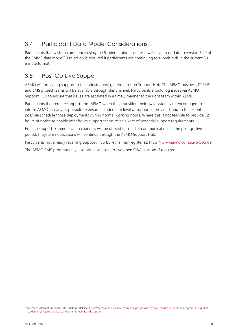## <span id="page-10-0"></span>3.4 Participant Data Model Considerations

Participants that wish to commence using the 5-minute bidding service will have to update to version 5.00 of the EMMS data model<sup>11</sup>. No action is required if participants are continuing to submit bids in the current 30minute format.

### <span id="page-10-1"></span>3.5 Post Go-Live Support

AEMO will providing support to the industry post go-live through Support Hub. The AEMO business, IT SMEs and 5MS project teams will be available through this channel. Participants should log issues via AEMO Support Hub to ensure that issues are escalated in a timely manner to the right team within AEMO.

Participants that require support from AEMO when they transition their own systems are encouraged to inform AEMO as early as possible to ensure an adequate level of support is provided, and to the extent possible schedule those deployments during normal working hours. Where this is not feasible to provide 72 hours of notice to enable after hours support teams to be aware of potential support requirements.

Existing support communication channels will be utilised for market communications in the post go-live period. IT system notifications will continue through the AEMO Support Hub.

Participants not already receiving Support Hub bulletins may register at[: https://www.aemo.com.au/subscribe](https://www.aemo.com.au/subscribe)

The AEMO 5MS program may also organise post-go-live open Q&A sessions if required.

<sup>11</sup> For more information on the latest data model see: [https://aemo.com.au/initiatives/major-programs/nem-five-minute-settlement-program-and-global](https://aemo.com.au/initiatives/major-programs/nem-five-minute-settlement-program-and-global-settlement/systems-workstream/systems-technical-documents)[settlement/systems-workstream/systems-technical-documents](https://aemo.com.au/initiatives/major-programs/nem-five-minute-settlement-program-and-global-settlement/systems-workstream/systems-technical-documents)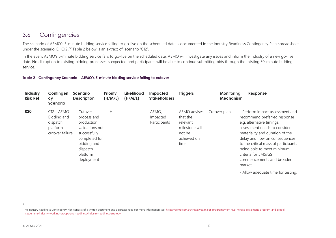### 3.6 Contingencies

The scenario of AEMO's 5-minute bidding service failing to go-live on the scheduled date is documented in the Industry Readiness Contingency Plan spreadsheet under the scenario ID 'C12'.<sup>12</sup> Table 2 below is an extract of scenario 'C12'.

In the event AEMO's 5-minute bidding service fails to go-live on the scheduled date, AEMO will investigate any issues and inform the industry of a new go-live date. No disruption to existing bidding processes is expected and participants will be able to continue submitting bids through the existing 30-minute bidding service.

**Table 2 Contingency Scenario – AEMO's 5-minute bidding service failing to cutover**

<span id="page-11-0"></span>

| Industry<br><b>Risk Ref</b> | Contingen<br><b>CY</b><br><b>Scenario</b>                              | <b>Scenario</b><br><b>Description</b>                                                                                                         | <b>Priority</b><br>(H/M/L) | Likelihood<br>(H/M/L) | <b>Impacted</b><br><b>Stakeholders</b> | <b>Triggers</b>                                                                         | Monitoring<br><b>Mechanism</b> | Response                                                                                                                                                                                                                                                                                                                                                                     |
|-----------------------------|------------------------------------------------------------------------|-----------------------------------------------------------------------------------------------------------------------------------------------|----------------------------|-----------------------|----------------------------------------|-----------------------------------------------------------------------------------------|--------------------------------|------------------------------------------------------------------------------------------------------------------------------------------------------------------------------------------------------------------------------------------------------------------------------------------------------------------------------------------------------------------------------|
| <b>R20</b>                  | $C12 - AEMO$<br>Bidding and<br>dispatch<br>platform<br>cutover failure | Cutover<br>process and<br>production<br>validations not<br>successfully<br>completed for<br>bidding and<br>dispatch<br>platform<br>deployment | H                          |                       | AEMO,<br>Impacted<br>Participants      | AEMO advises<br>that the<br>relevant<br>milestone will<br>not be<br>achieved on<br>time | Cutover plan                   | - Perform impact assessment and<br>recommend preferred response<br>e.g. alternative timings,<br>assessment needs to consider<br>materiality and duration of the<br>delay and flow on consequences<br>to the critical mass of participants<br>being able to meet minimum<br>criteria for 5MS/GS<br>commencements and broader<br>market.<br>- Allow adequate time for testing. |

<span id="page-11-1"></span><sup>12</sup>

The Industry Readiness Contingency Plan consists of a written document and a spreadsheet. For more information see: [https://aemo.com.au/initiatives/major-programs/nem-five-minute-settlement-program-and-global](https://aemo.com.au/initiatives/major-programs/nem-five-minute-settlement-program-and-global-settlement/industry-working-groups-and-readiness/industry-readiness-strategy)[settlement/industry-working-groups-and-readiness/industry-readiness-strategy](https://aemo.com.au/initiatives/major-programs/nem-five-minute-settlement-program-and-global-settlement/industry-working-groups-and-readiness/industry-readiness-strategy)